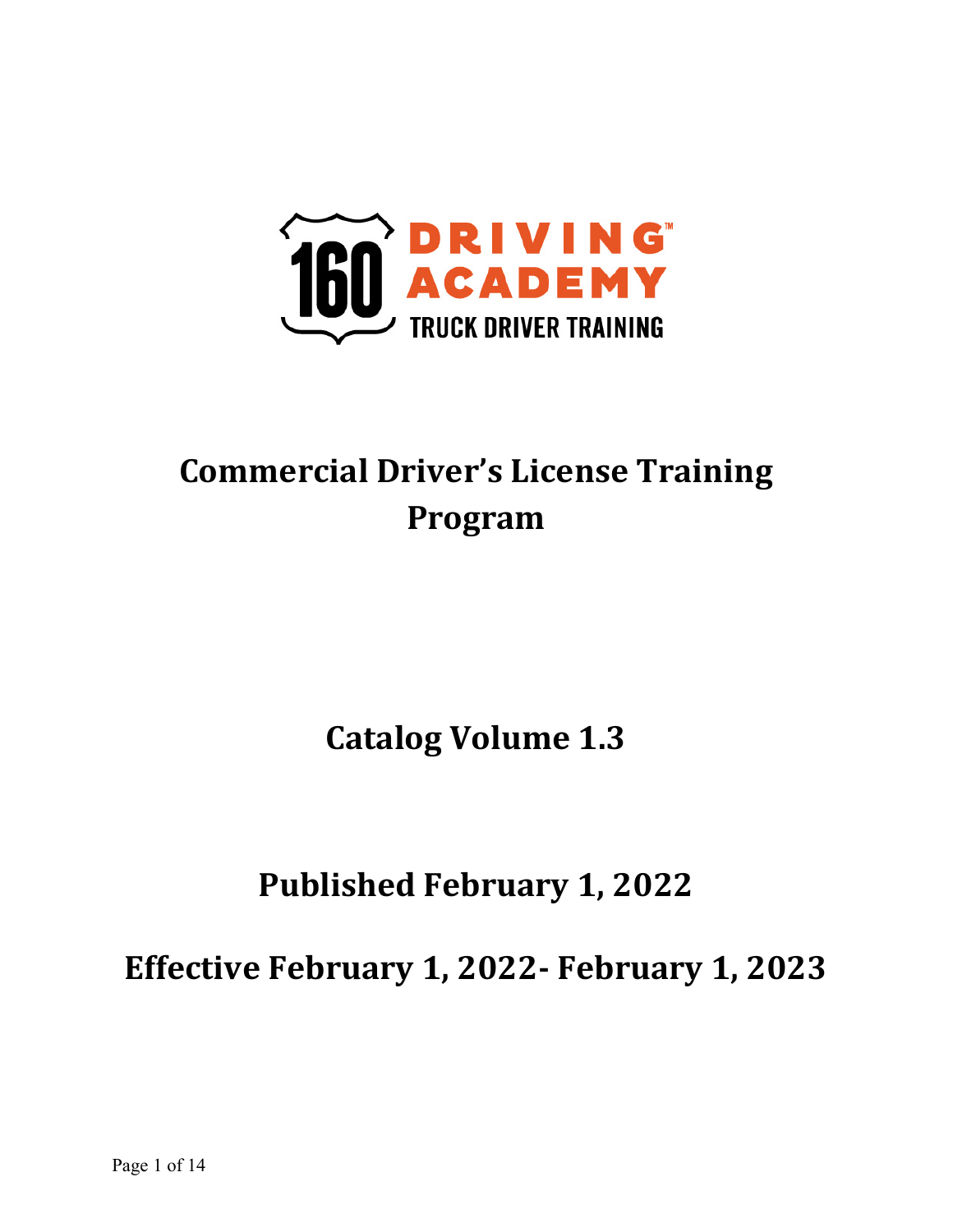

# **Commercial Driver's License Training Program**

**Catalog Volume 1.3** 

# **Published February 1, 2022**

**Effective February 1, 2022- February 1, 2023**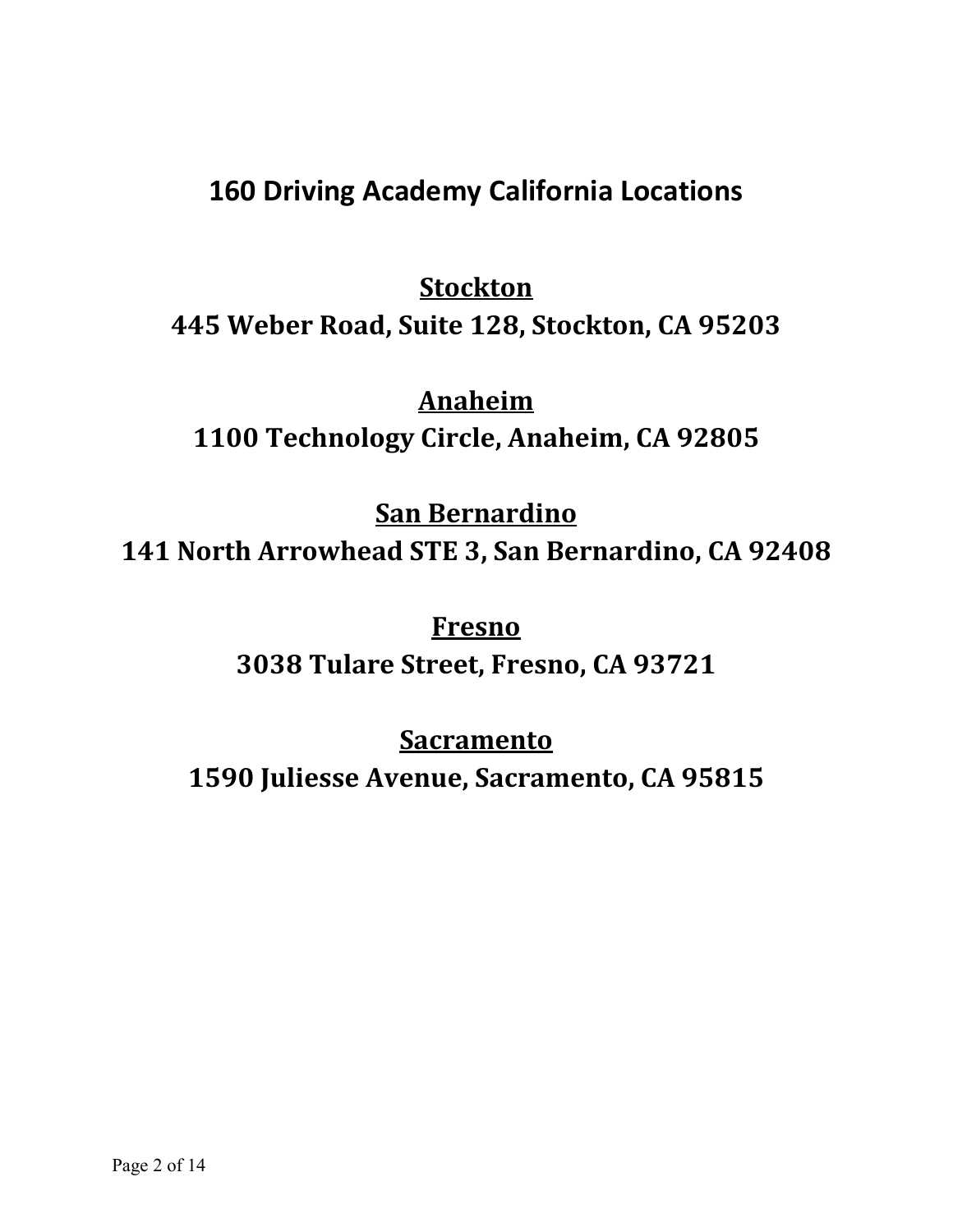## **160 Driving Academy California Locations**

# **Stockton 445 Weber Road, Suite 128, Stockton, CA 95203**

### **Anaheim**

**1100 Technology Circle, Anaheim, CA 92805**

**San Bernardino** 

**141 North Arrowhead STE 3, San Bernardino, CA 92408**

**Fresno 3038 Tulare Street, Fresno, CA 93721**

## **Sacramento**

**1590 Juliesse Avenue, Sacramento, CA 95815**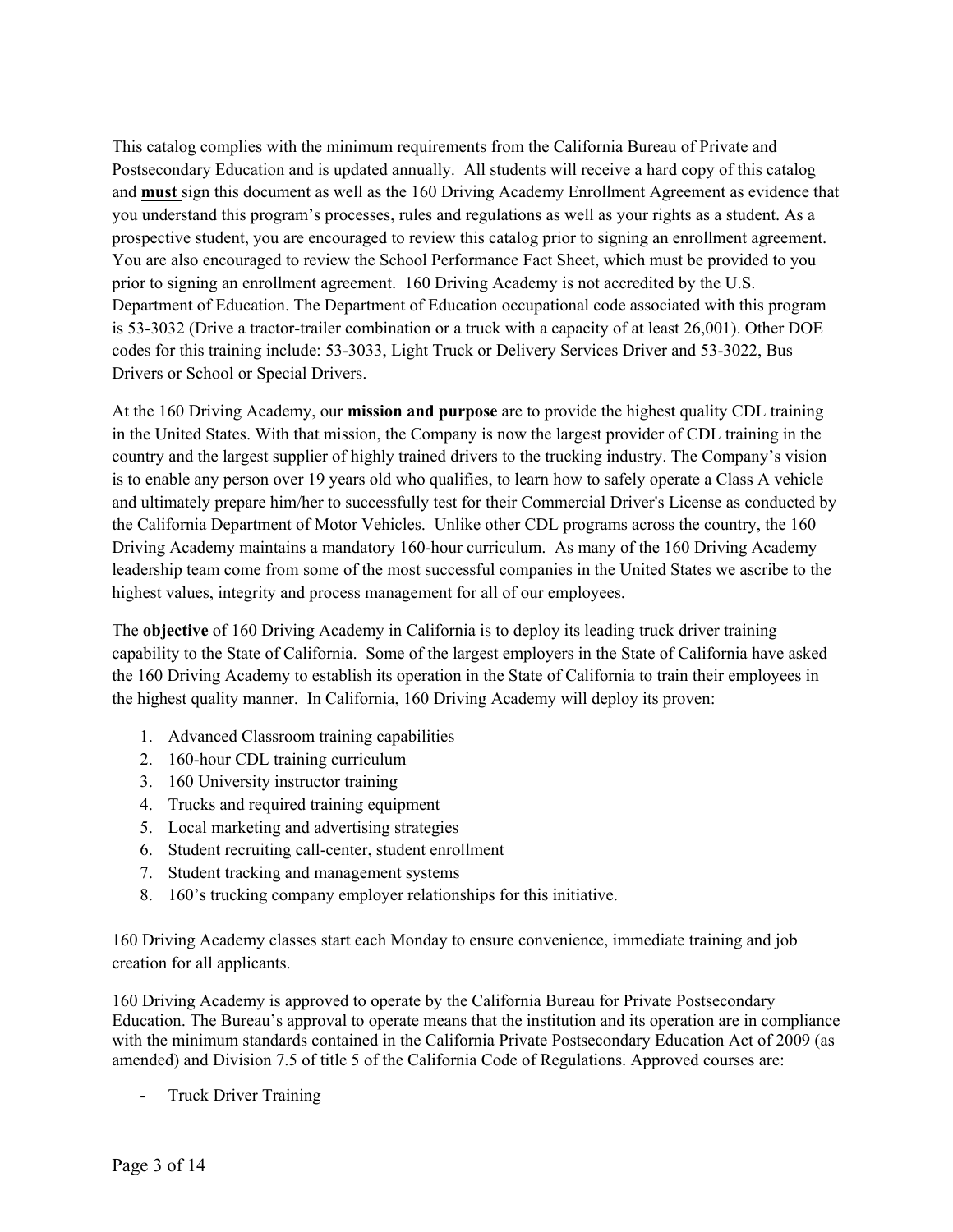This catalog complies with the minimum requirements from the California Bureau of Private and Postsecondary Education and is updated annually. All students will receive a hard copy of this catalog and **must** sign this document as well as the 160 Driving Academy Enrollment Agreement as evidence that you understand this program's processes, rules and regulations as well as your rights as a student. As a prospective student, you are encouraged to review this catalog prior to signing an enrollment agreement. You are also encouraged to review the School Performance Fact Sheet, which must be provided to you prior to signing an enrollment agreement. 160 Driving Academy is not accredited by the U.S. Department of Education. The Department of Education occupational code associated with this program is 53-3032 (Drive a tractor-trailer combination or a truck with a capacity of at least 26,001). Other DOE codes for this training include: 53-3033, Light Truck or Delivery Services Driver and 53-3022, Bus Drivers or School or Special Drivers.

At the 160 Driving Academy, our **mission and purpose** are to provide the highest quality CDL training in the United States. With that mission, the Company is now the largest provider of CDL training in the country and the largest supplier of highly trained drivers to the trucking industry. The Company's vision is to enable any person over 19 years old who qualifies, to learn how to safely operate a Class A vehicle and ultimately prepare him/her to successfully test for their Commercial Driver's License as conducted by the California Department of Motor Vehicles. Unlike other CDL programs across the country, the 160 Driving Academy maintains a mandatory 160-hour curriculum. As many of the 160 Driving Academy leadership team come from some of the most successful companies in the United States we ascribe to the highest values, integrity and process management for all of our employees.

The **objective** of 160 Driving Academy in California is to deploy its leading truck driver training capability to the State of California. Some of the largest employers in the State of California have asked the 160 Driving Academy to establish its operation in the State of California to train their employees in the highest quality manner. In California, 160 Driving Academy will deploy its proven:

- 1. Advanced Classroom training capabilities
- 2. 160-hour CDL training curriculum
- 3. 160 University instructor training
- 4. Trucks and required training equipment
- 5. Local marketing and advertising strategies
- 6. Student recruiting call-center, student enrollment
- 7. Student tracking and management systems
- 8. 160's trucking company employer relationships for this initiative.

160 Driving Academy classes start each Monday to ensure convenience, immediate training and job creation for all applicants.

160 Driving Academy is approved to operate by the California Bureau for Private Postsecondary Education. The Bureau's approval to operate means that the institution and its operation are in compliance with the minimum standards contained in the California Private Postsecondary Education Act of 2009 (as amended) and Division 7.5 of title 5 of the California Code of Regulations. Approved courses are:

- Truck Driver Training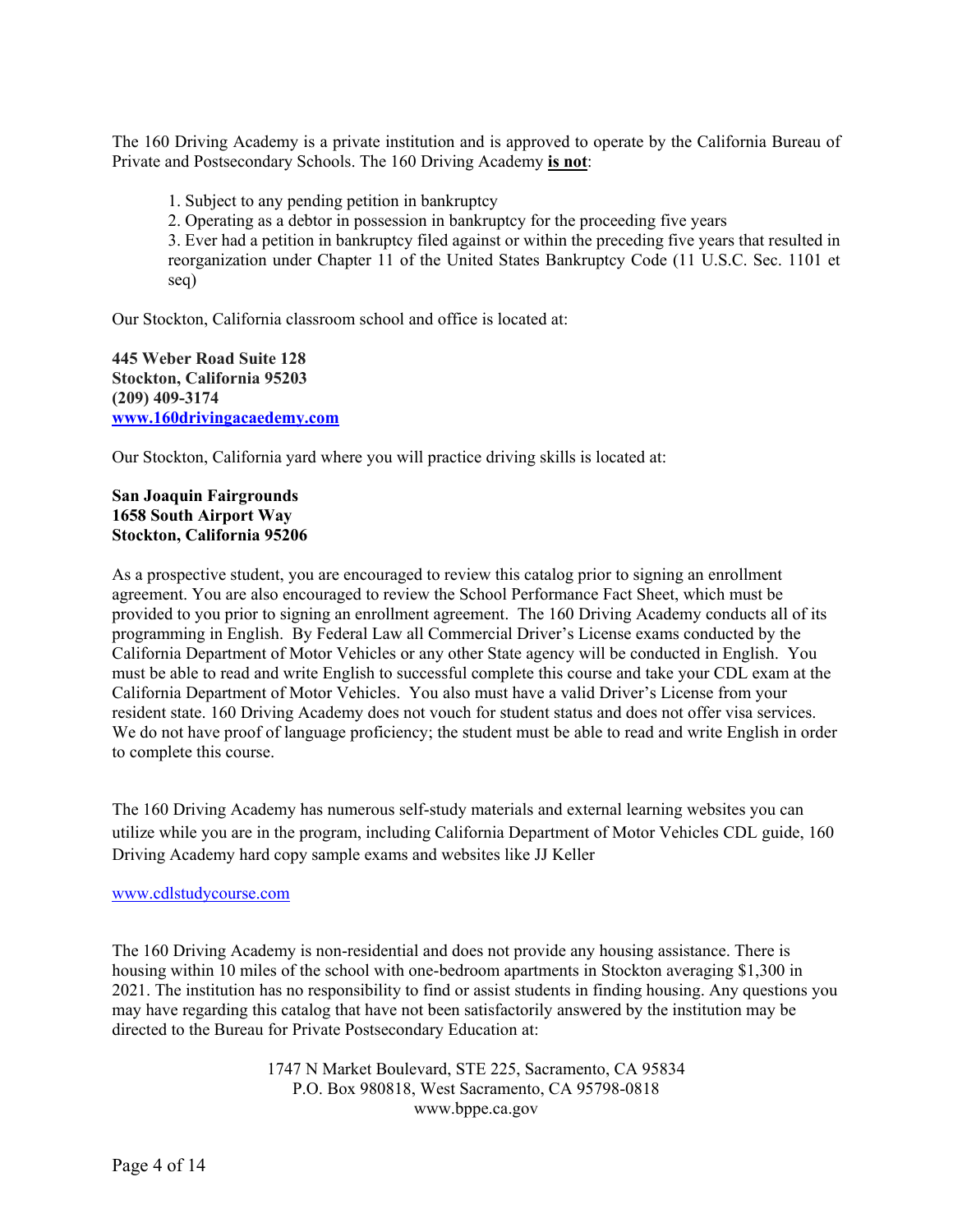The 160 Driving Academy is a private institution and is approved to operate by the California Bureau of Private and Postsecondary Schools. The 160 Driving Academy **is not**:

1. Subject to any pending petition in bankruptcy

2. Operating as a debtor in possession in bankruptcy for the proceeding five years

3. Ever had a petition in bankruptcy filed against or within the preceding five years that resulted in reorganization under Chapter 11 of the United States Bankruptcy Code (11 U.S.C. Sec. 1101 et seq)

Our Stockton, California classroom school and office is located at:

**445 Weber Road Suite 128 Stockton, California 95203 (209) 409-3174 [www.160drivingacaedemy.com](http://www.160drivingacaedemy.com/)**

Our Stockton, California yard where you will practice driving skills is located at:

#### **San Joaquin Fairgrounds 1658 South Airport Way Stockton, California 95206**

As a prospective student, you are encouraged to review this catalog prior to signing an enrollment agreement. You are also encouraged to review the School Performance Fact Sheet, which must be provided to you prior to signing an enrollment agreement. The 160 Driving Academy conducts all of its programming in English. By Federal Law all Commercial Driver's License exams conducted by the California Department of Motor Vehicles or any other State agency will be conducted in English. You must be able to read and write English to successful complete this course and take your CDL exam at the California Department of Motor Vehicles. You also must have a valid Driver's License from your resident state. 160 Driving Academy does not vouch for student status and does not offer visa services. We do not have proof of language proficiency; the student must be able to read and write English in order to complete this course.

The 160 Driving Academy has numerous self-study materials and external learning websites you can utilize while you are in the program, including California Department of Motor Vehicles CDL guide, 160 Driving Academy hard copy sample exams and websites like JJ Keller

#### [www.cdlstudycourse.com](http://www.cdlstudycourse.com/)

The 160 Driving Academy is non-residential and does not provide any housing assistance. There is housing within 10 miles of the school with one-bedroom apartments in Stockton averaging \$1,300 in 2021. The institution has no responsibility to find or assist students in finding housing. Any questions you may have regarding this catalog that have not been satisfactorily answered by the institution may be directed to the Bureau for Private Postsecondary Education at:

> 1747 N Market Boulevard, STE 225, Sacramento, CA 95834 P.O. Box 980818, West Sacramento, CA 95798-0818 www.bppe.ca.gov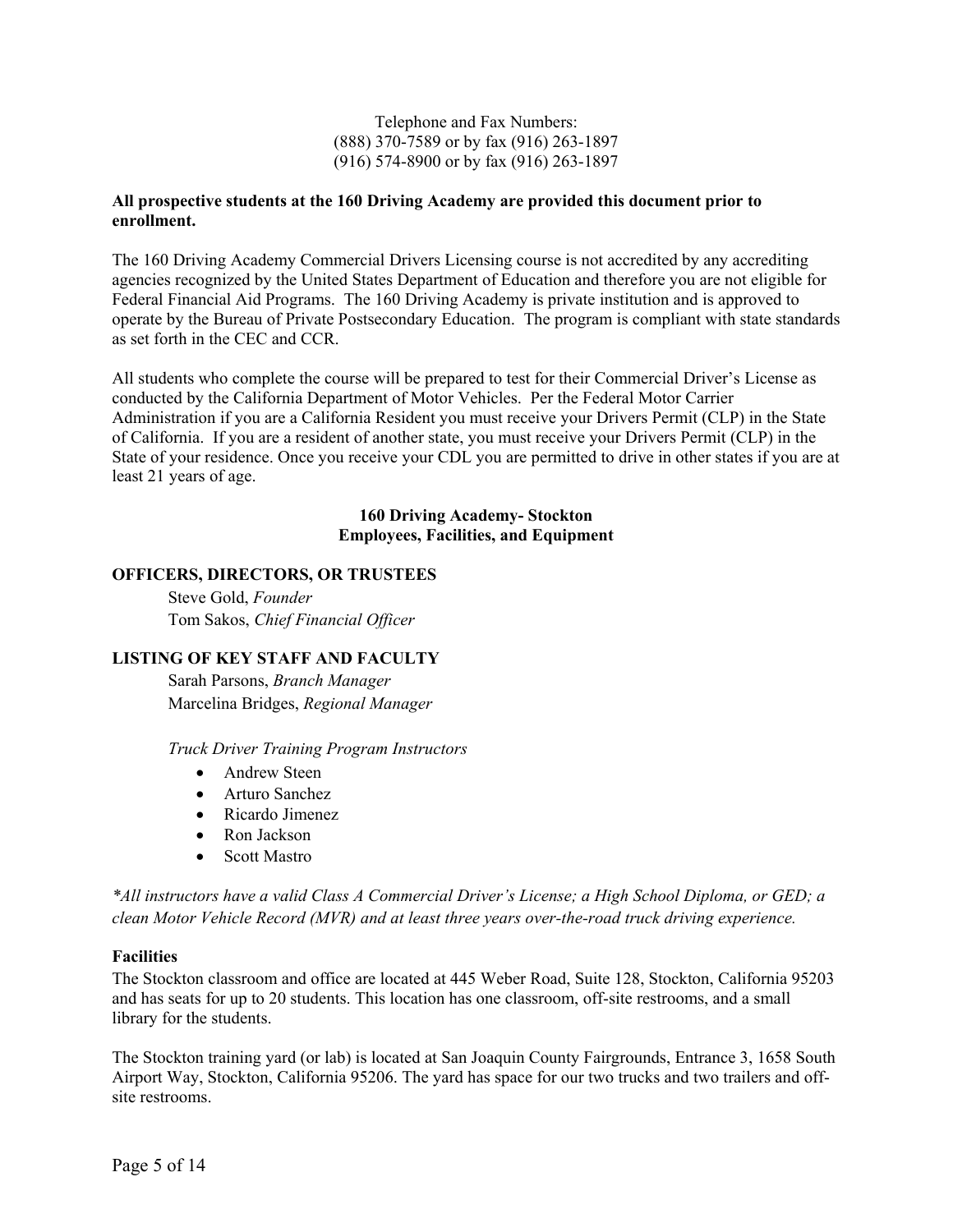Telephone and Fax Numbers: (888) 370-7589 or by fax (916) 263-1897 (916) 574-8900 or by fax (916) 263-1897

#### **All prospective students at the 160 Driving Academy are provided this document prior to enrollment.**

The 160 Driving Academy Commercial Drivers Licensing course is not accredited by any accrediting agencies recognized by the United States Department of Education and therefore you are not eligible for Federal Financial Aid Programs. The 160 Driving Academy is private institution and is approved to operate by the Bureau of Private Postsecondary Education. The program is compliant with state standards as set forth in the CEC and CCR.

All students who complete the course will be prepared to test for their Commercial Driver's License as conducted by the California Department of Motor Vehicles. Per the Federal Motor Carrier Administration if you are a California Resident you must receive your Drivers Permit (CLP) in the State of California. If you are a resident of another state, you must receive your Drivers Permit (CLP) in the State of your residence. Once you receive your CDL you are permitted to drive in other states if you are at least 21 years of age.

#### **160 Driving Academy- Stockton Employees, Facilities, and Equipment**

#### **OFFICERS, DIRECTORS, OR TRUSTEES**

Steve Gold, *Founder* Tom Sakos, *Chief Financial Officer*

#### **LISTING OF KEY STAFF AND FACULTY**

Sarah Parsons, *Branch Manager* Marcelina Bridges, *Regional Manager*

*Truck Driver Training Program Instructors*

- Andrew Steen
- Arturo Sanchez
- Ricardo Jimenez
- Ron Jackson
- Scott Mastro

*\*All instructors have a valid Class A Commercial Driver's License; a High School Diploma, or GED; a clean Motor Vehicle Record (MVR) and at least three years over-the-road truck driving experience.* 

#### **Facilities**

The Stockton classroom and office are located at 445 Weber Road, Suite 128, Stockton, California 95203 and has seats for up to 20 students. This location has one classroom, off-site restrooms, and a small library for the students.

The Stockton training yard (or lab) is located at San Joaquin County Fairgrounds, Entrance 3, 1658 South Airport Way, Stockton, California 95206. The yard has space for our two trucks and two trailers and offsite restrooms.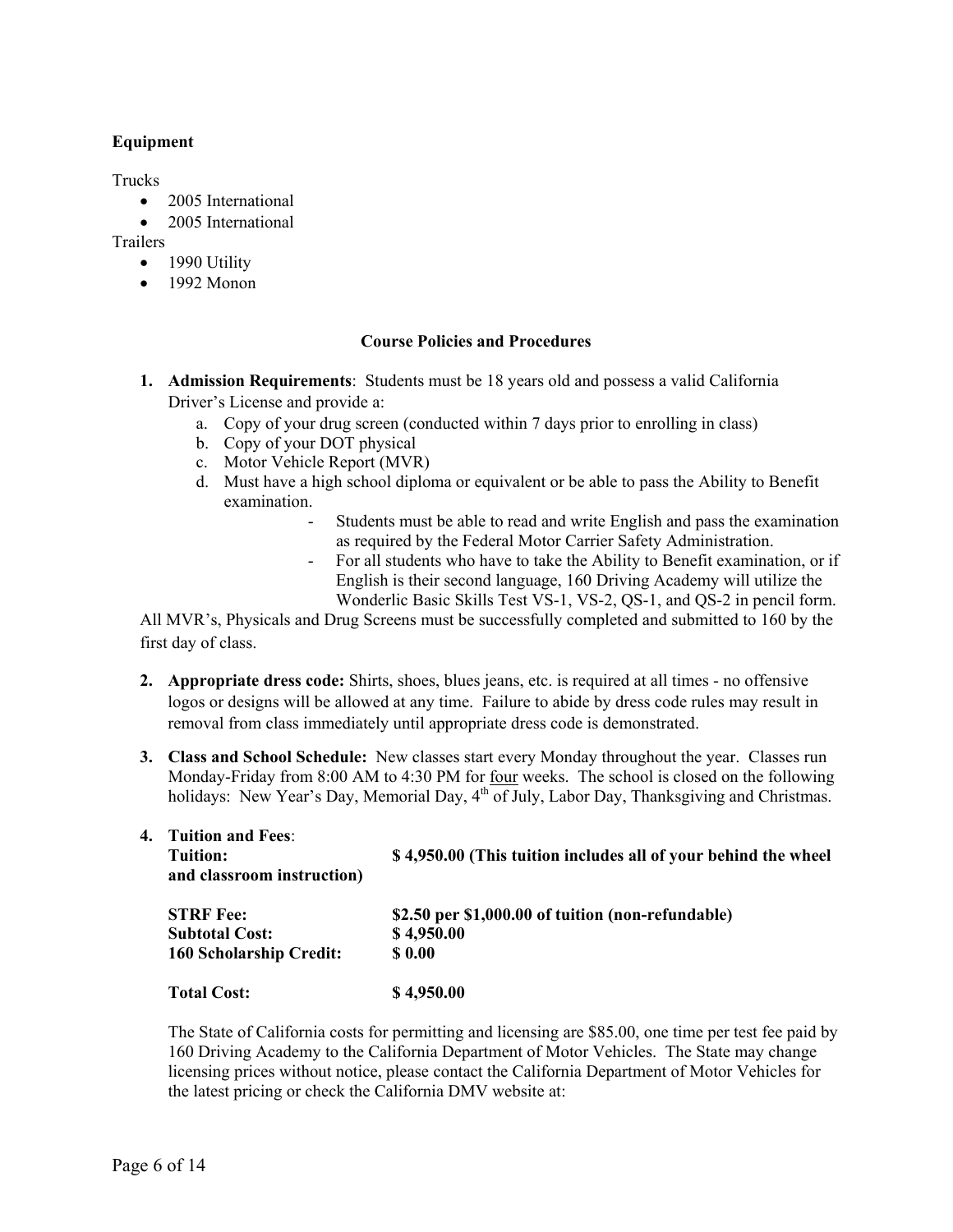#### **Equipment**

Trucks

- 2005 International
- 2005 International

Trailers

- 1990 Utility
- 1992 Monon

#### **Course Policies and Procedures**

- **1. Admission Requirements**: Students must be 18 years old and possess a valid California Driver's License and provide a:
	- a. Copy of your drug screen (conducted within 7 days prior to enrolling in class)
	- b. Copy of your DOT physical
	- c. Motor Vehicle Report (MVR)
	- d. Must have a high school diploma or equivalent or be able to pass the Ability to Benefit examination.
		- Students must be able to read and write English and pass the examination as required by the Federal Motor Carrier Safety Administration.
		- For all students who have to take the Ability to Benefit examination, or if English is their second language, 160 Driving Academy will utilize the Wonderlic Basic Skills Test VS-1, VS-2, QS-1, and QS-2 in pencil form.

All MVR's, Physicals and Drug Screens must be successfully completed and submitted to 160 by the first day of class.

- **2. Appropriate dress code:** Shirts, shoes, blues jeans, etc. is required at all times no offensive logos or designs will be allowed at any time. Failure to abide by dress code rules may result in removal from class immediately until appropriate dress code is demonstrated.
- **3. Class and School Schedule:** New classes start every Monday throughout the year. Classes run Monday-Friday from 8:00 AM to 4:30 PM for four weeks. The school is closed on the following holidays: New Year's Day, Memorial Day, 4<sup>th</sup> of July, Labor Day, Thanksgiving and Christmas.

**4. Tuition and Fees**:

| Tuition:<br>and classroom instruction) | \$4,950.00 (This tuition includes all of your behind the wheel |  |  |
|----------------------------------------|----------------------------------------------------------------|--|--|
| <b>STRF</b> Fee:                       | \$2.50 per \$1,000.00 of tuition (non-refundable)              |  |  |
| <b>Subtotal Cost:</b>                  | \$4,950.00                                                     |  |  |
| <b>160 Scholarship Credit:</b>         | \$0.00                                                         |  |  |
| <b>Total Cost:</b>                     | \$4,950.00                                                     |  |  |

The State of California costs for permitting and licensing are \$85.00, one time per test fee paid by 160 Driving Academy to the California Department of Motor Vehicles. The State may change licensing prices without notice, please contact the California Department of Motor Vehicles for the latest pricing or check the California DMV website at: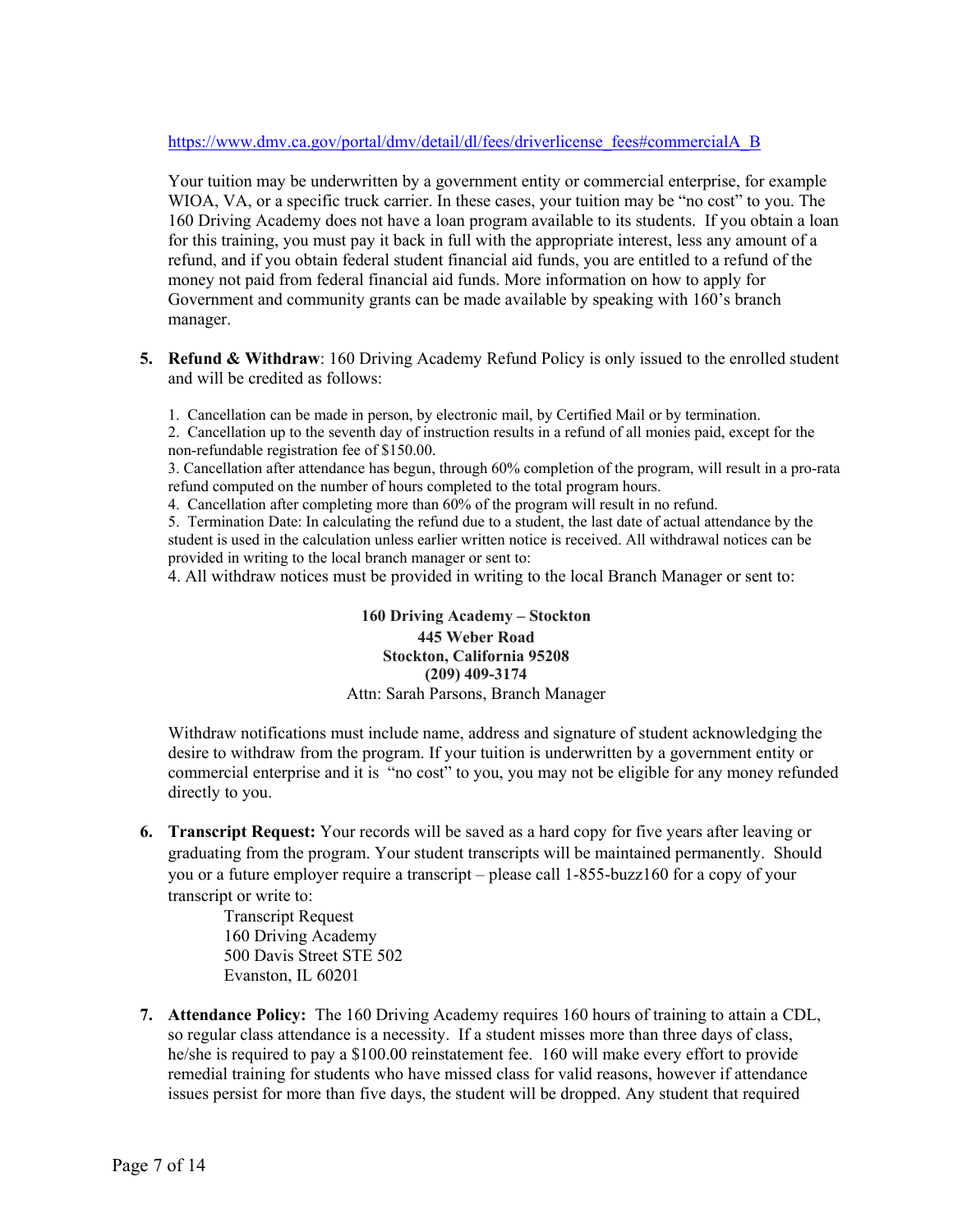#### [https://www.dmv.ca.gov/portal/dmv/detail/dl/fees/driverlicense\\_fees#commercialA\\_B](https://www.dmv.ca.gov/portal/dmv/detail/dl/fees/driverlicense_fees#commercialA_B)

Your tuition may be underwritten by a government entity or commercial enterprise, for example WIOA, VA, or a specific truck carrier. In these cases, your tuition may be "no cost" to you. The 160 Driving Academy does not have a loan program available to its students. If you obtain a loan for this training, you must pay it back in full with the appropriate interest, less any amount of a refund, and if you obtain federal student financial aid funds, you are entitled to a refund of the money not paid from federal financial aid funds. More information on how to apply for Government and community grants can be made available by speaking with 160's branch manager.

**5. Refund & Withdraw**: 160 Driving Academy Refund Policy is only issued to the enrolled student and will be credited as follows:

1. Cancellation can be made in person, by electronic mail, by Certified Mail or by termination.

2. Cancellation up to the seventh day of instruction results in a refund of all monies paid, except for the non-refundable registration fee of \$150.00.

3. Cancellation after attendance has begun, through 60% completion of the program, will result in a pro-rata refund computed on the number of hours completed to the total program hours.

4. Cancellation after completing more than 60% of the program will result in no refund.

5. Termination Date: In calculating the refund due to a student, the last date of actual attendance by the student is used in the calculation unless earlier written notice is received. All withdrawal notices can be provided in writing to the local branch manager or sent to:

4. All withdraw notices must be provided in writing to the local Branch Manager or sent to:

**160 Driving Academy – Stockton 445 Weber Road Stockton, California 95208 (209) 409-3174** Attn: Sarah Parsons, Branch Manager

Withdraw notifications must include name, address and signature of student acknowledging the desire to withdraw from the program. If your tuition is underwritten by a government entity or commercial enterprise and it is "no cost" to you, you may not be eligible for any money refunded directly to you.

**6. Transcript Request:** Your records will be saved as a hard copy for five years after leaving or graduating from the program. Your student transcripts will be maintained permanently. Should you or a future employer require a transcript – please call 1-855-buzz160 for a copy of your transcript or write to:

> Transcript Request 160 Driving Academy 500 Davis Street STE 502 Evanston, IL 60201

**7. Attendance Policy:** The 160 Driving Academy requires 160 hours of training to attain a CDL, so regular class attendance is a necessity. If a student misses more than three days of class, he/she is required to pay a \$100.00 reinstatement fee. 160 will make every effort to provide remedial training for students who have missed class for valid reasons, however if attendance issues persist for more than five days, the student will be dropped. Any student that required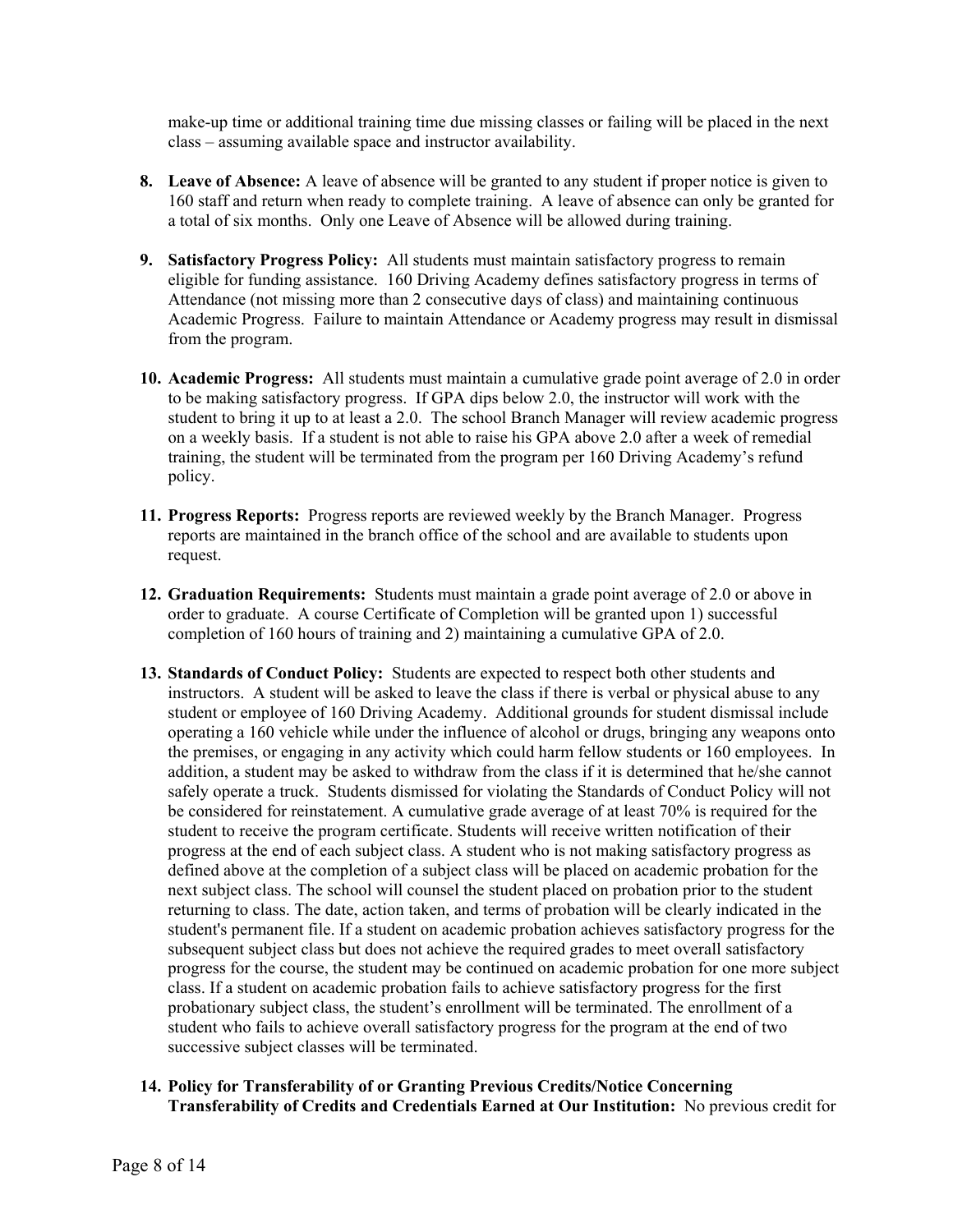make-up time or additional training time due missing classes or failing will be placed in the next class – assuming available space and instructor availability.

- **8. Leave of Absence:** A leave of absence will be granted to any student if proper notice is given to 160 staff and return when ready to complete training. A leave of absence can only be granted for a total of six months. Only one Leave of Absence will be allowed during training.
- **9. Satisfactory Progress Policy:** All students must maintain satisfactory progress to remain eligible for funding assistance. 160 Driving Academy defines satisfactory progress in terms of Attendance (not missing more than 2 consecutive days of class) and maintaining continuous Academic Progress. Failure to maintain Attendance or Academy progress may result in dismissal from the program.
- **10. Academic Progress:** All students must maintain a cumulative grade point average of 2.0 in order to be making satisfactory progress. If GPA dips below 2.0, the instructor will work with the student to bring it up to at least a 2.0. The school Branch Manager will review academic progress on a weekly basis. If a student is not able to raise his GPA above 2.0 after a week of remedial training, the student will be terminated from the program per 160 Driving Academy's refund policy.
- **11. Progress Reports:** Progress reports are reviewed weekly by the Branch Manager. Progress reports are maintained in the branch office of the school and are available to students upon request.
- **12. Graduation Requirements:** Students must maintain a grade point average of 2.0 or above in order to graduate. A course Certificate of Completion will be granted upon 1) successful completion of 160 hours of training and 2) maintaining a cumulative GPA of 2.0.
- **13. Standards of Conduct Policy:** Students are expected to respect both other students and instructors. A student will be asked to leave the class if there is verbal or physical abuse to any student or employee of 160 Driving Academy. Additional grounds for student dismissal include operating a 160 vehicle while under the influence of alcohol or drugs, bringing any weapons onto the premises, or engaging in any activity which could harm fellow students or 160 employees. In addition, a student may be asked to withdraw from the class if it is determined that he/she cannot safely operate a truck. Students dismissed for violating the Standards of Conduct Policy will not be considered for reinstatement. A cumulative grade average of at least 70% is required for the student to receive the program certificate. Students will receive written notification of their progress at the end of each subject class. A student who is not making satisfactory progress as defined above at the completion of a subject class will be placed on academic probation for the next subject class. The school will counsel the student placed on probation prior to the student returning to class. The date, action taken, and terms of probation will be clearly indicated in the student's permanent file. If a student on academic probation achieves satisfactory progress for the subsequent subject class but does not achieve the required grades to meet overall satisfactory progress for the course, the student may be continued on academic probation for one more subject class. If a student on academic probation fails to achieve satisfactory progress for the first probationary subject class, the student's enrollment will be terminated. The enrollment of a student who fails to achieve overall satisfactory progress for the program at the end of two successive subject classes will be terminated.
- **14. Policy for Transferability of or Granting Previous Credits/Notice Concerning Transferability of Credits and Credentials Earned at Our Institution:** No previous credit for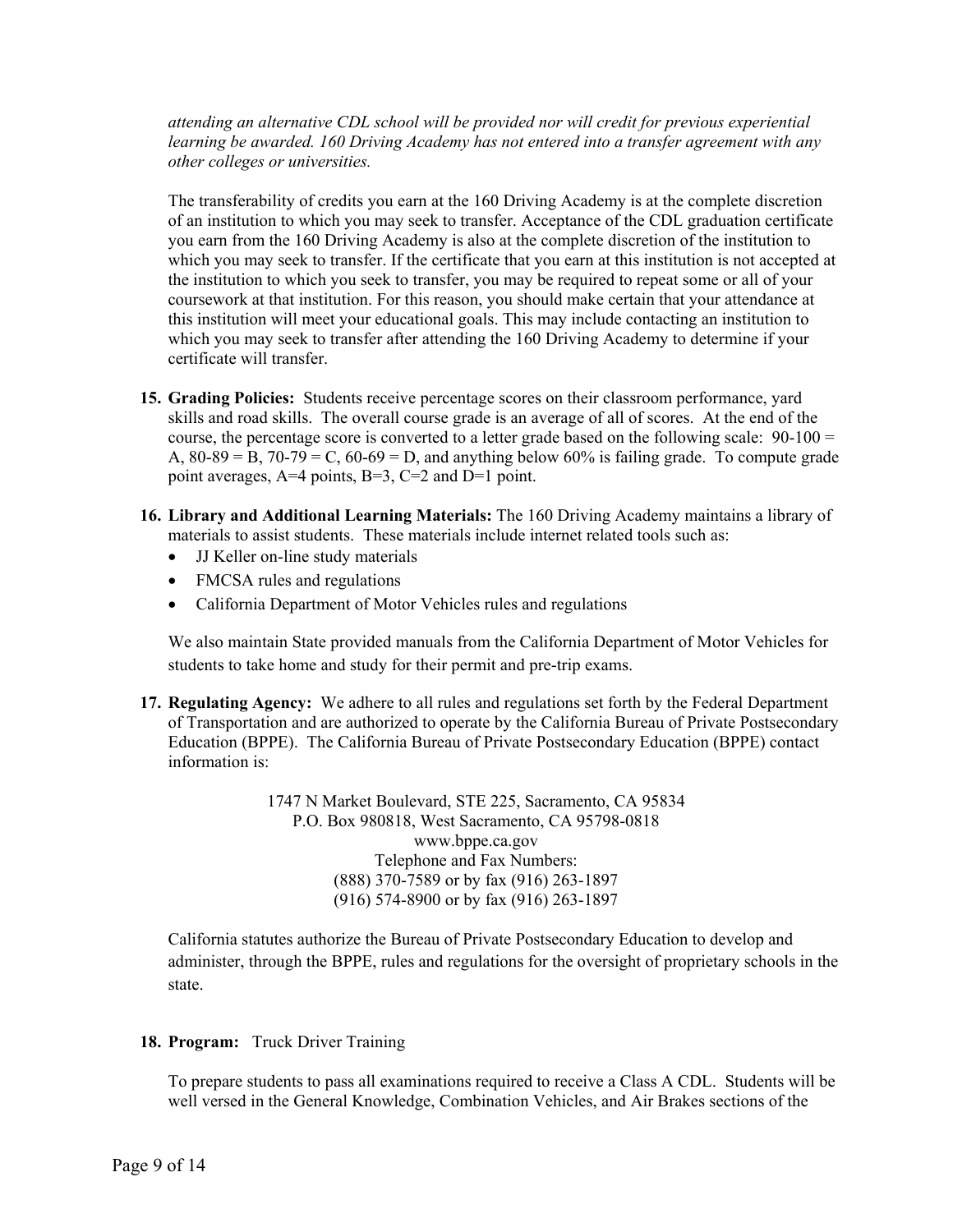*attending an alternative CDL school will be provided nor will credit for previous experiential learning be awarded. 160 Driving Academy has not entered into a transfer agreement with any other colleges or universities.* 

The transferability of credits you earn at the 160 Driving Academy is at the complete discretion of an institution to which you may seek to transfer. Acceptance of the CDL graduation certificate you earn from the 160 Driving Academy is also at the complete discretion of the institution to which you may seek to transfer. If the certificate that you earn at this institution is not accepted at the institution to which you seek to transfer, you may be required to repeat some or all of your coursework at that institution. For this reason, you should make certain that your attendance at this institution will meet your educational goals. This may include contacting an institution to which you may seek to transfer after attending the 160 Driving Academy to determine if your certificate will transfer.

- **15. Grading Policies:** Students receive percentage scores on their classroom performance, yard skills and road skills. The overall course grade is an average of all of scores. At the end of the course, the percentage score is converted to a letter grade based on the following scale: 90-100 = A,  $80-89 = B$ ,  $70-79 = C$ ,  $60-69 = D$ , and anything below  $60\%$  is failing grade. To compute grade point averages, A=4 points, B=3, C=2 and D=1 point.
- **16. Library and Additional Learning Materials:** The 160 Driving Academy maintains a library of materials to assist students. These materials include internet related tools such as:
	- JJ Keller on-line study materials
	- FMCSA rules and regulations
	- California Department of Motor Vehicles rules and regulations

We also maintain State provided manuals from the California Department of Motor Vehicles for students to take home and study for their permit and pre-trip exams.

**17. Regulating Agency:** We adhere to all rules and regulations set forth by the Federal Department of Transportation and are authorized to operate by the California Bureau of Private Postsecondary Education (BPPE). The California Bureau of Private Postsecondary Education (BPPE) contact information is:

> 1747 N Market Boulevard, STE 225, Sacramento, CA 95834 P.O. Box 980818, West Sacramento, CA 95798-0818 www.bppe.ca.gov Telephone and Fax Numbers: (888) 370-7589 or by fax (916) 263-1897 (916) 574-8900 or by fax (916) 263-1897

California statutes authorize the Bureau of Private Postsecondary Education to develop and administer, through the BPPE, rules and regulations for the oversight of proprietary schools in the state.

#### **18. Program:** Truck Driver Training

To prepare students to pass all examinations required to receive a Class A CDL. Students will be well versed in the General Knowledge, Combination Vehicles, and Air Brakes sections of the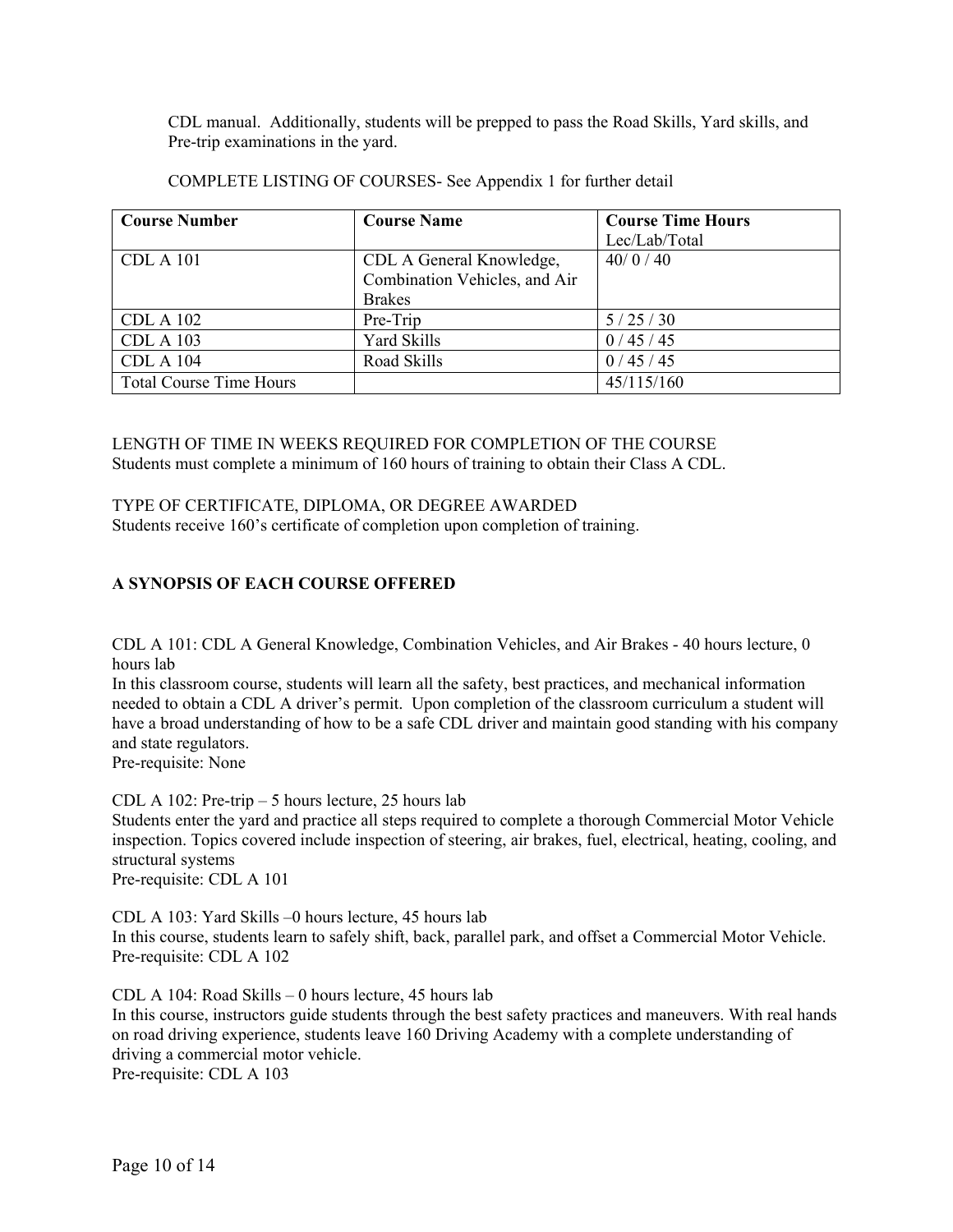CDL manual. Additionally, students will be prepped to pass the Road Skills, Yard skills, and Pre-trip examinations in the yard.

| <b>Course Number</b>           | <b>Course Name</b>            | <b>Course Time Hours</b> |  |
|--------------------------------|-------------------------------|--------------------------|--|
|                                |                               | Lec/Lab/Total            |  |
| <b>CDL A 101</b>               | CDL A General Knowledge,      | 40/0/40                  |  |
|                                | Combination Vehicles, and Air |                          |  |
|                                | <b>Brakes</b>                 |                          |  |
| <b>CDL A 102</b>               | Pre-Trip                      | 5/25/30                  |  |
| <b>CDL A 103</b>               | <b>Yard Skills</b>            | 0/45/45                  |  |
| <b>CDL A 104</b>               | Road Skills                   | 0/45/45                  |  |
| <b>Total Course Time Hours</b> |                               | 45/115/160               |  |

COMPLETE LISTING OF COURSES- See Appendix 1 for further detail

LENGTH OF TIME IN WEEKS REQUIRED FOR COMPLETION OF THE COURSE Students must complete a minimum of 160 hours of training to obtain their Class A CDL.

#### TYPE OF CERTIFICATE, DIPLOMA, OR DEGREE AWARDED

Students receive 160's certificate of completion upon completion of training.

#### **A SYNOPSIS OF EACH COURSE OFFERED**

CDL A 101: CDL A General Knowledge, Combination Vehicles, and Air Brakes - 40 hours lecture, 0 hours lab

In this classroom course, students will learn all the safety, best practices, and mechanical information needed to obtain a CDL A driver's permit. Upon completion of the classroom curriculum a student will have a broad understanding of how to be a safe CDL driver and maintain good standing with his company and state regulators.

Pre-requisite: None

CDL A 102: Pre-trip – 5 hours lecture, 25 hours lab

Students enter the yard and practice all steps required to complete a thorough Commercial Motor Vehicle inspection. Topics covered include inspection of steering, air brakes, fuel, electrical, heating, cooling, and structural systems

Pre-requisite: CDL A 101

CDL A 103: Yard Skills –0 hours lecture, 45 hours lab In this course, students learn to safely shift, back, parallel park, and offset a Commercial Motor Vehicle. Pre-requisite: CDL A 102

CDL A 104: Road Skills – 0 hours lecture, 45 hours lab In this course, instructors guide students through the best safety practices and maneuvers. With real hands on road driving experience, students leave 160 Driving Academy with a complete understanding of driving a commercial motor vehicle. Pre-requisite: CDL A 103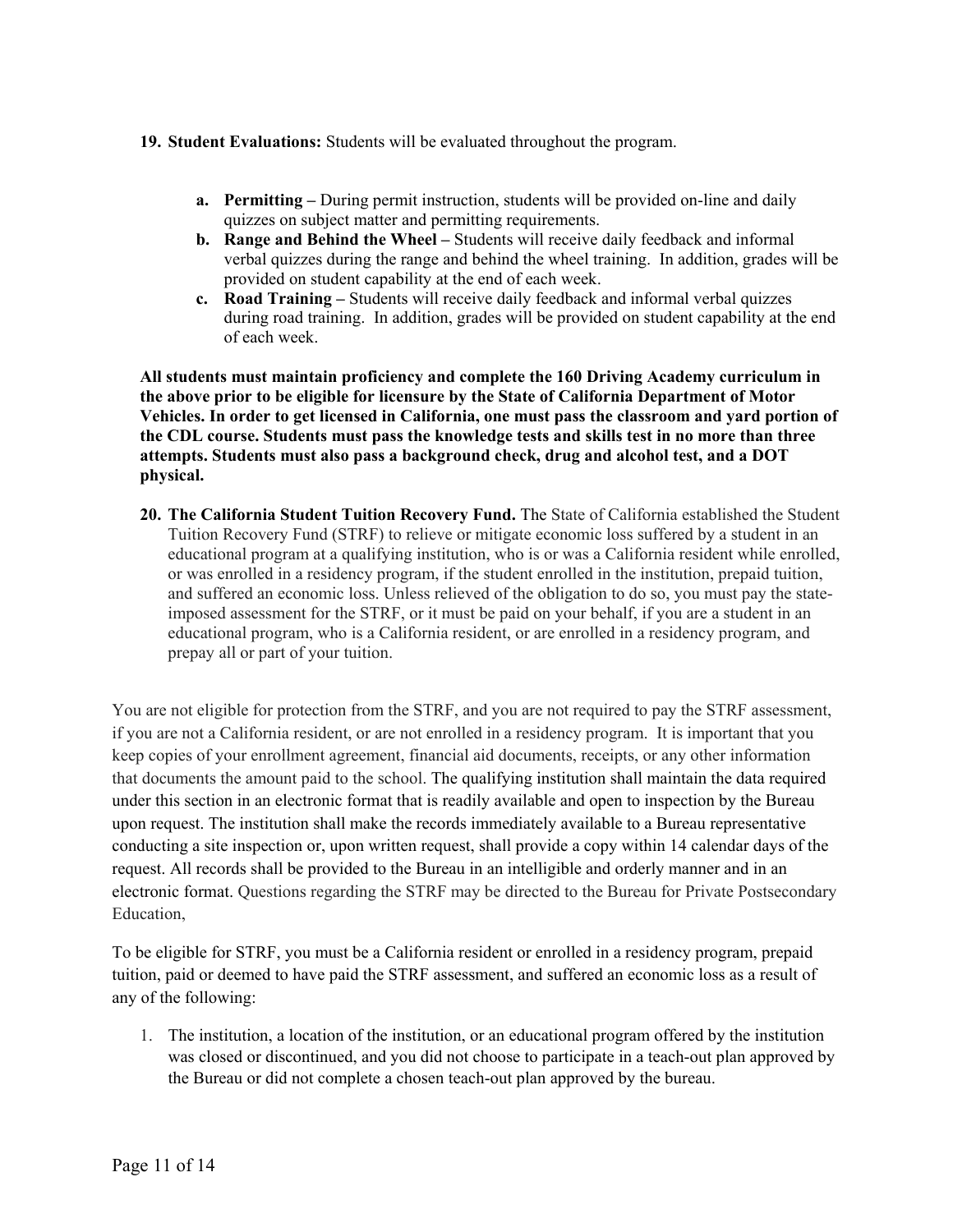#### **19. Student Evaluations:** Students will be evaluated throughout the program.

- **a. Permitting** During permit instruction, students will be provided on-line and daily quizzes on subject matter and permitting requirements.
- **b. Range and Behind the Wheel** Students will receive daily feedback and informal verbal quizzes during the range and behind the wheel training. In addition, grades will be provided on student capability at the end of each week.
- **c. Road Training** Students will receive daily feedback and informal verbal quizzes during road training. In addition, grades will be provided on student capability at the end of each week.

**All students must maintain proficiency and complete the 160 Driving Academy curriculum in the above prior to be eligible for licensure by the State of California Department of Motor Vehicles. In order to get licensed in California, one must pass the classroom and yard portion of the CDL course. Students must pass the knowledge tests and skills test in no more than three attempts. Students must also pass a background check, drug and alcohol test, and a DOT physical.** 

**20. The California Student Tuition Recovery Fund.** The State of California established the Student Tuition Recovery Fund (STRF) to relieve or mitigate economic loss suffered by a student in an educational program at a qualifying institution, who is or was a California resident while enrolled, or was enrolled in a residency program, if the student enrolled in the institution, prepaid tuition, and suffered an economic loss. Unless relieved of the obligation to do so, you must pay the stateimposed assessment for the STRF, or it must be paid on your behalf, if you are a student in an educational program, who is a California resident, or are enrolled in a residency program, and prepay all or part of your tuition.

You are not eligible for protection from the STRF, and you are not required to pay the STRF assessment, if you are not a California resident, or are not enrolled in a residency program. It is important that you keep copies of your enrollment agreement, financial aid documents, receipts, or any other information that documents the amount paid to the school. The qualifying institution shall maintain the data required under this section in an electronic format that is readily available and open to inspection by the Bureau upon request. The institution shall make the records immediately available to a Bureau representative conducting a site inspection or, upon written request, shall provide a copy within 14 calendar days of the request. All records shall be provided to the Bureau in an intelligible and orderly manner and in an electronic format. Questions regarding the STRF may be directed to the Bureau for Private Postsecondary Education,

To be eligible for STRF, you must be a California resident or enrolled in a residency program, prepaid tuition, paid or deemed to have paid the STRF assessment, and suffered an economic loss as a result of any of the following:

1. The institution, a location of the institution, or an educational program offered by the institution was closed or discontinued, and you did not choose to participate in a teach-out plan approved by the Bureau or did not complete a chosen teach-out plan approved by the bureau.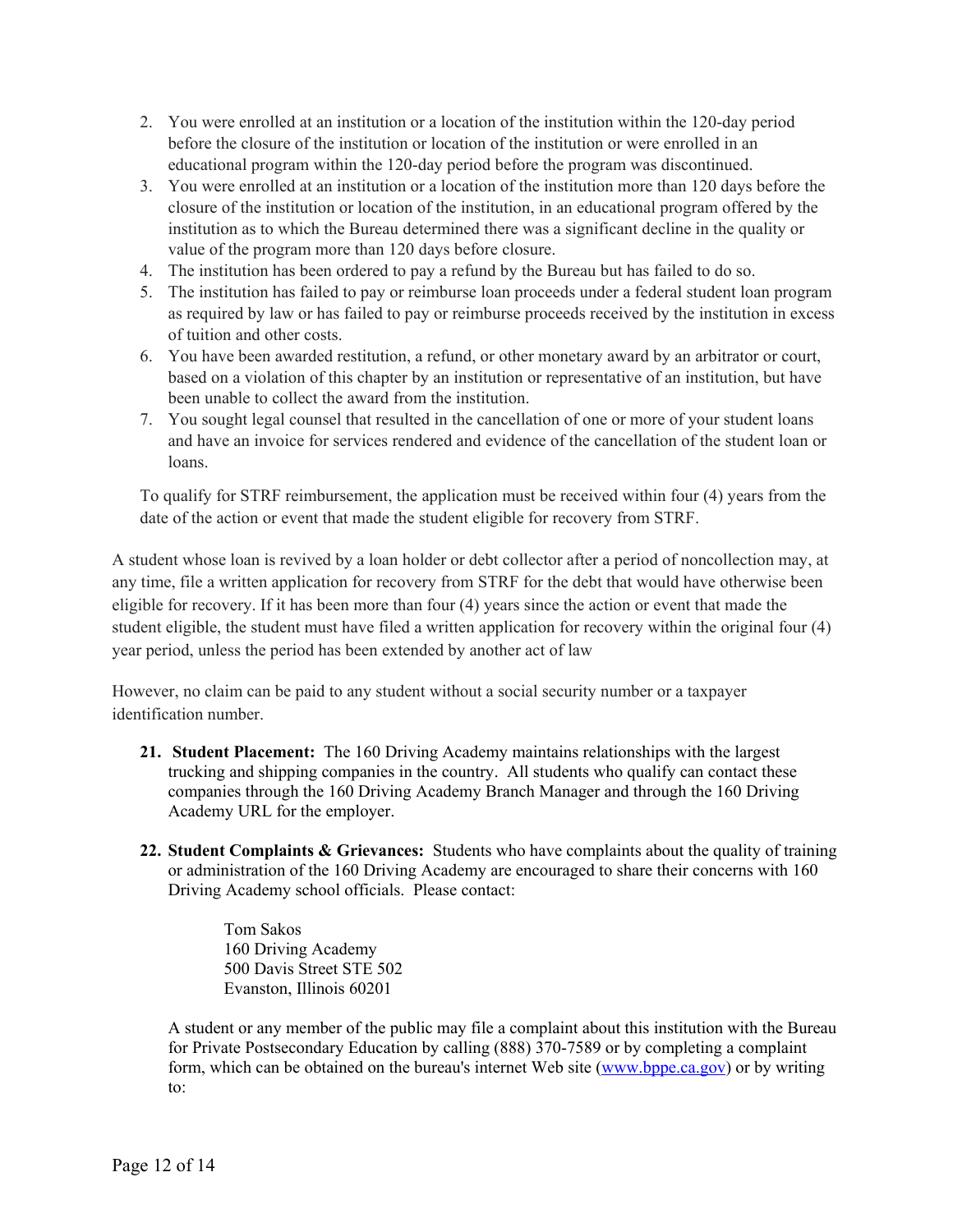- 2. You were enrolled at an institution or a location of the institution within the 120-day period before the closure of the institution or location of the institution or were enrolled in an educational program within the 120-day period before the program was discontinued.
- 3. You were enrolled at an institution or a location of the institution more than 120 days before the closure of the institution or location of the institution, in an educational program offered by the institution as to which the Bureau determined there was a significant decline in the quality or value of the program more than 120 days before closure.
- 4. The institution has been ordered to pay a refund by the Bureau but has failed to do so.
- 5. The institution has failed to pay or reimburse loan proceeds under a federal student loan program as required by law or has failed to pay or reimburse proceeds received by the institution in excess of tuition and other costs.
- 6. You have been awarded restitution, a refund, or other monetary award by an arbitrator or court, based on a violation of this chapter by an institution or representative of an institution, but have been unable to collect the award from the institution.
- 7. You sought legal counsel that resulted in the cancellation of one or more of your student loans and have an invoice for services rendered and evidence of the cancellation of the student loan or loans.

To qualify for STRF reimbursement, the application must be received within four (4) years from the date of the action or event that made the student eligible for recovery from STRF.

A student whose loan is revived by a loan holder or debt collector after a period of noncollection may, at any time, file a written application for recovery from STRF for the debt that would have otherwise been eligible for recovery. If it has been more than four (4) years since the action or event that made the student eligible, the student must have filed a written application for recovery within the original four (4) year period, unless the period has been extended by another act of law

However, no claim can be paid to any student without a social security number or a taxpayer identification number.

- **21. Student Placement:** The 160 Driving Academy maintains relationships with the largest trucking and shipping companies in the country. All students who qualify can contact these companies through the 160 Driving Academy Branch Manager and through the 160 Driving Academy URL for the employer.
- **22. Student Complaints & Grievances:** Students who have complaints about the quality of training or administration of the 160 Driving Academy are encouraged to share their concerns with 160 Driving Academy school officials. Please contact:

Tom Sakos 160 Driving Academy 500 Davis Street STE 502 Evanston, Illinois 60201

A student or any member of the public may file a complaint about this institution with the Bureau for Private Postsecondary Education by calling (888) 370-7589 or by completing a complaint form, which can be obtained on the bureau's internet Web site [\(www.bppe.ca.gov\)](http://www.bppe.ca.gov/) or by writing to: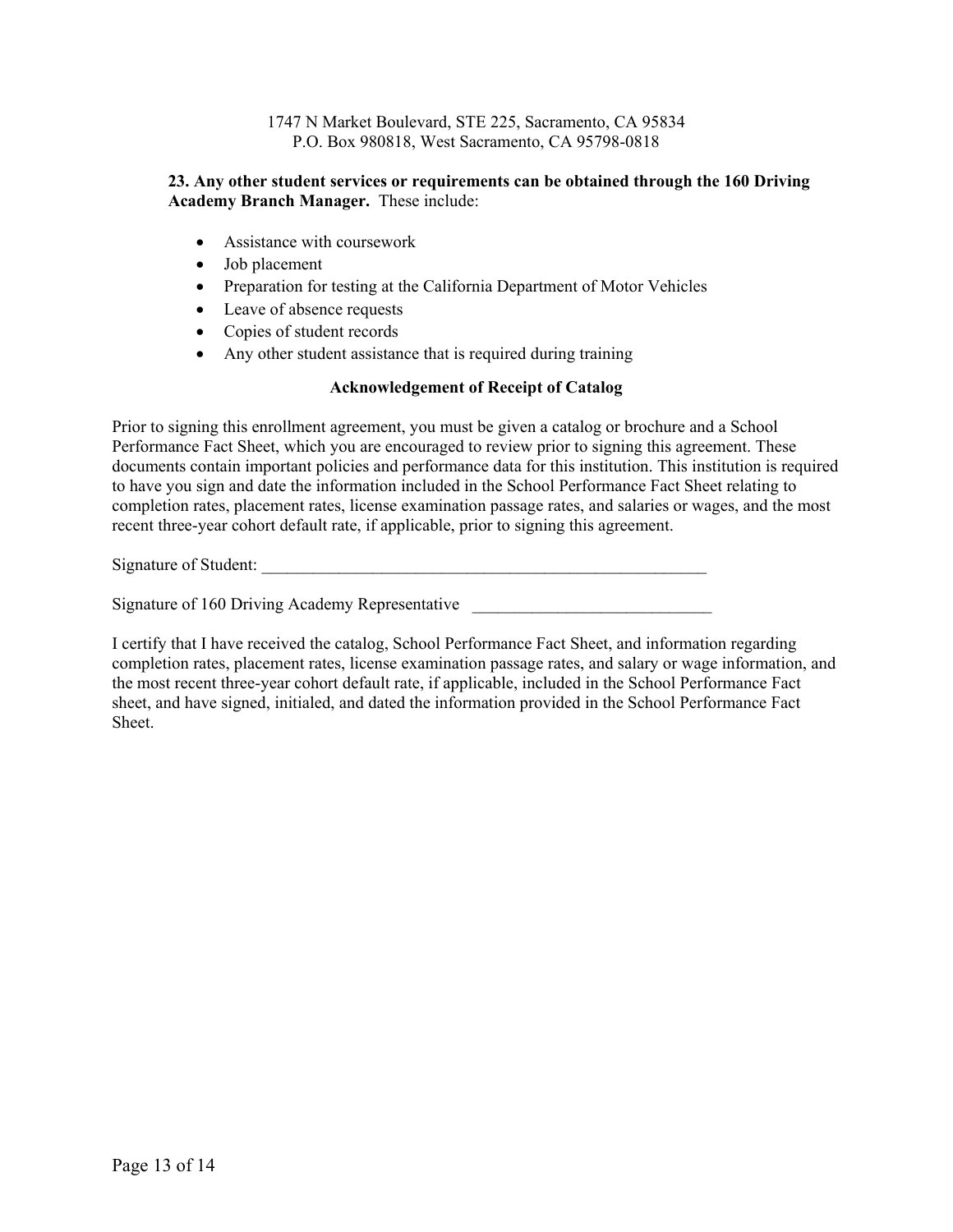1747 N Market Boulevard, STE 225, Sacramento, CA 95834 P.O. Box 980818, West Sacramento, CA 95798-0818

#### **23. Any other student services or requirements can be obtained through the 160 Driving Academy Branch Manager.** These include:

- Assistance with coursework
- Job placement
- Preparation for testing at the California Department of Motor Vehicles
- Leave of absence requests
- Copies of student records
- Any other student assistance that is required during training

#### **Acknowledgement of Receipt of Catalog**

Prior to signing this enrollment agreement, you must be given a catalog or brochure and a School Performance Fact Sheet, which you are encouraged to review prior to signing this agreement. These documents contain important policies and performance data for this institution. This institution is required to have you sign and date the information included in the School Performance Fact Sheet relating to completion rates, placement rates, license examination passage rates, and salaries or wages, and the most recent three-year cohort default rate, if applicable, prior to signing this agreement.

Signature of Student:

Signature of 160 Driving Academy Representative

I certify that I have received the catalog, School Performance Fact Sheet, and information regarding completion rates, placement rates, license examination passage rates, and salary or wage information, and the most recent three-year cohort default rate, if applicable, included in the School Performance Fact sheet, and have signed, initialed, and dated the information provided in the School Performance Fact Sheet.